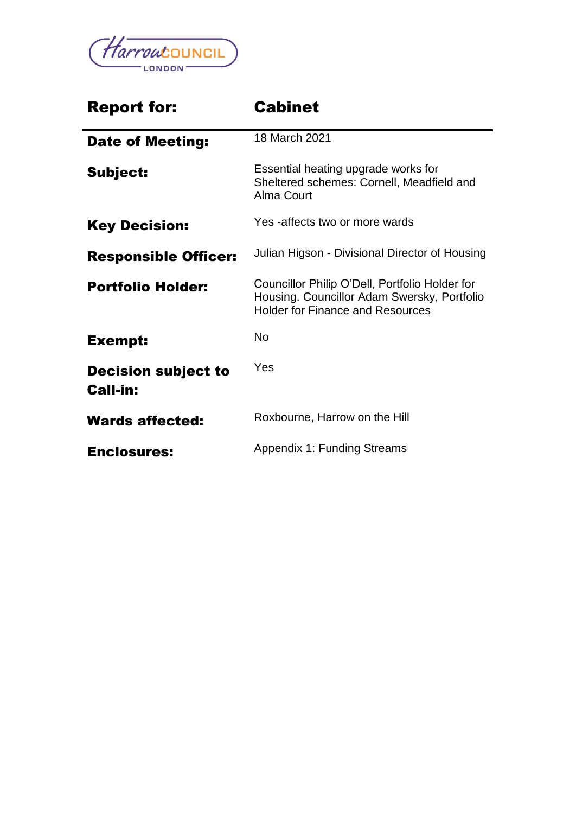

| <b>Report for:</b>                            | <b>Cabinet</b>                                                                                                                           |
|-----------------------------------------------|------------------------------------------------------------------------------------------------------------------------------------------|
| <b>Date of Meeting:</b>                       | 18 March 2021                                                                                                                            |
| Subject:                                      | Essential heating upgrade works for<br>Sheltered schemes: Cornell, Meadfield and<br>Alma Court                                           |
| <b>Key Decision:</b>                          | Yes -affects two or more wards                                                                                                           |
| <b>Responsible Officer:</b>                   | Julian Higson - Divisional Director of Housing                                                                                           |
| <b>Portfolio Holder:</b>                      | Councillor Philip O'Dell, Portfolio Holder for<br>Housing. Councillor Adam Swersky, Portfolio<br><b>Holder for Finance and Resources</b> |
| <b>Exempt:</b>                                | <b>No</b>                                                                                                                                |
| <b>Decision subject to</b><br><b>Call-in:</b> | Yes                                                                                                                                      |
| <b>Wards affected:</b>                        | Roxbourne, Harrow on the Hill                                                                                                            |
| <b>Enclosures:</b>                            | <b>Appendix 1: Funding Streams</b>                                                                                                       |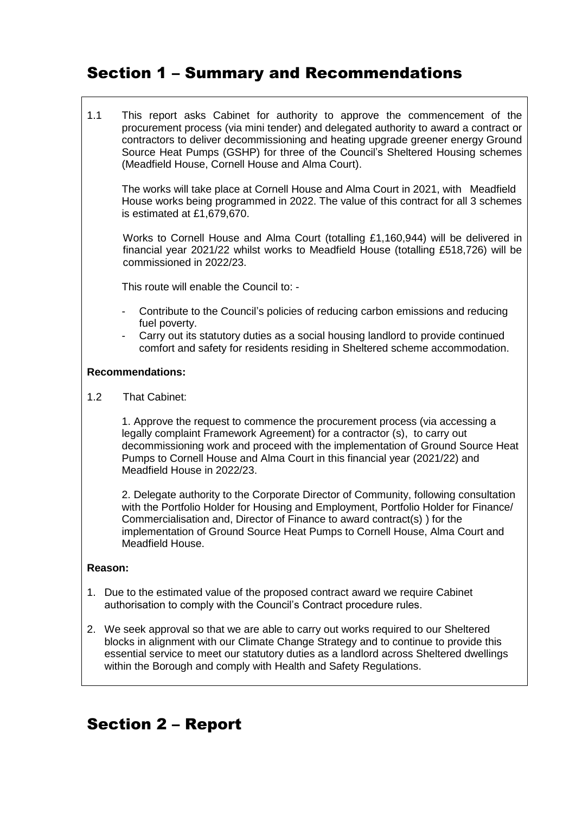# Section 1 – Summary and Recommendations

1.1 This report asks Cabinet for authority to approve the commencement of the procurement process (via mini tender) and delegated authority to award a contract or contractors to deliver decommissioning and heating upgrade greener energy Ground Source Heat Pumps (GSHP) for three of the Council's Sheltered Housing schemes (Meadfield House, Cornell House and Alma Court).

The works will take place at Cornell House and Alma Court in 2021, with Meadfield House works being programmed in 2022. The value of this contract for all 3 schemes is estimated at £1,679,670.

Works to Cornell House and Alma Court (totalling £1,160,944) will be delivered in financial year 2021/22 whilst works to Meadfield House (totalling £518,726) will be commissioned in 2022/23.

This route will enable the Council to: -

- Contribute to the Council's policies of reducing carbon emissions and reducing fuel poverty.
- Carry out its statutory duties as a social housing landlord to provide continued comfort and safety for residents residing in Sheltered scheme accommodation.

#### **Recommendations:**

1.2 That Cabinet:

1. Approve the request to commence the procurement process (via accessing a legally complaint Framework Agreement) for a contractor (s), to carry out decommissioning work and proceed with the implementation of Ground Source Heat Pumps to Cornell House and Alma Court in this financial year (2021/22) and Meadfield House in 2022/23.

2. Delegate authority to the Corporate Director of Community, following consultation with the Portfolio Holder for Housing and Employment, Portfolio Holder for Finance/ Commercialisation and, Director of Finance to award contract(s) ) for the implementation of Ground Source Heat Pumps to Cornell House, Alma Court and Meadfield House.

#### **Reason:**

- 1. Due to the estimated value of the proposed contract award we require Cabinet authorisation to comply with the Council's Contract procedure rules.
- 2. We seek approval so that we are able to carry out works required to our Sheltered blocks in alignment with our Climate Change Strategy and to continue to provide this essential service to meet our statutory duties as a landlord across Sheltered dwellings within the Borough and comply with Health and Safety Regulations.

# Section 2 – Report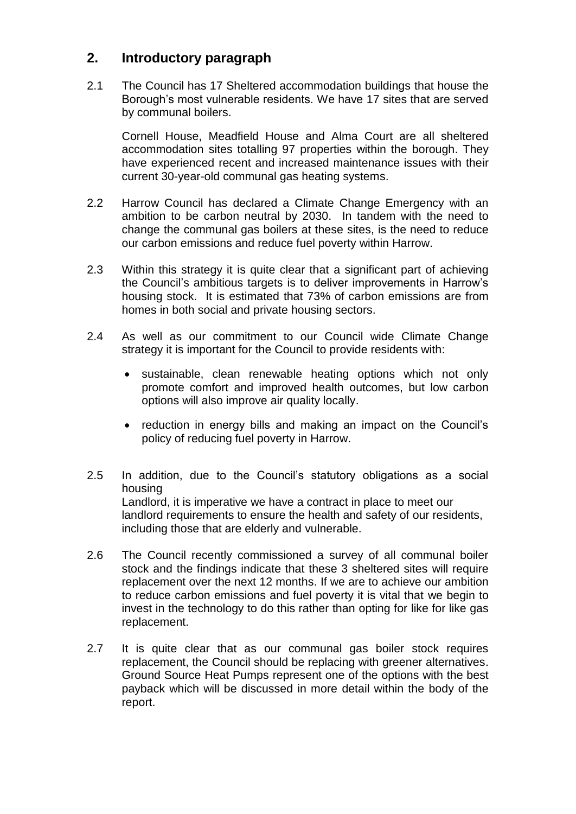### **2. Introductory paragraph**

2.1 The Council has 17 Sheltered accommodation buildings that house the Borough's most vulnerable residents. We have 17 sites that are served by communal boilers.

Cornell House, Meadfield House and Alma Court are all sheltered accommodation sites totalling 97 properties within the borough. They have experienced recent and increased maintenance issues with their current 30-year-old communal gas heating systems.

- 2.2 Harrow Council has declared a Climate Change Emergency with an ambition to be carbon neutral by 2030. In tandem with the need to change the communal gas boilers at these sites, is the need to reduce our carbon emissions and reduce fuel poverty within Harrow.
- 2.3 Within this strategy it is quite clear that a significant part of achieving the Council's ambitious targets is to deliver improvements in Harrow's housing stock. It is estimated that 73% of carbon emissions are from homes in both social and private housing sectors.
- 2.4 As well as our commitment to our Council wide Climate Change strategy it is important for the Council to provide residents with:
	- sustainable, clean renewable heating options which not only promote comfort and improved health outcomes, but low carbon options will also improve air quality locally.
	- reduction in energy bills and making an impact on the Council's policy of reducing fuel poverty in Harrow.
- 2.5 In addition, due to the Council's statutory obligations as a social housing Landlord, it is imperative we have a contract in place to meet our landlord requirements to ensure the health and safety of our residents, including those that are elderly and vulnerable.
- 2.6 The Council recently commissioned a survey of all communal boiler stock and the findings indicate that these 3 sheltered sites will require replacement over the next 12 months. If we are to achieve our ambition to reduce carbon emissions and fuel poverty it is vital that we begin to invest in the technology to do this rather than opting for like for like gas replacement.
- 2.7 It is quite clear that as our communal gas boiler stock requires replacement, the Council should be replacing with greener alternatives. Ground Source Heat Pumps represent one of the options with the best payback which will be discussed in more detail within the body of the report.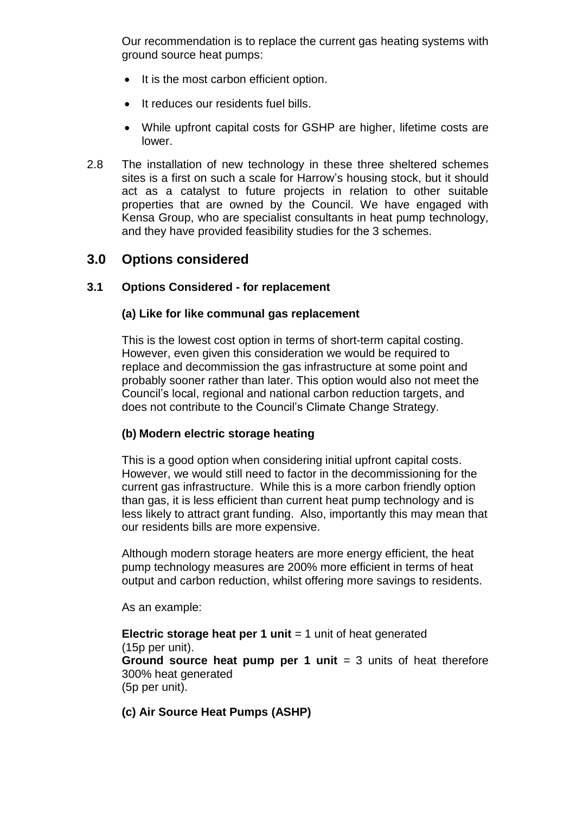Our recommendation is to replace the current gas heating systems with ground source heat pumps:

- It is the most carbon efficient option.
- It reduces our residents fuel bills.
- While upfront capital costs for GSHP are higher, lifetime costs are lower.
- 2.8 The installation of new technology in these three sheltered schemes sites is a first on such a scale for Harrow's housing stock, but it should act as a catalyst to future projects in relation to other suitable properties that are owned by the Council. We have engaged with Kensa Group, who are specialist consultants in heat pump technology, and they have provided feasibility studies for the 3 schemes.

### **3.0 Options considered**

#### **3.1 Options Considered - for replacement**

#### **(a) Like for like communal gas replacement**

This is the lowest cost option in terms of short-term capital costing. However, even given this consideration we would be required to replace and decommission the gas infrastructure at some point and probably sooner rather than later. This option would also not meet the Council's local, regional and national carbon reduction targets, and does not contribute to the Council's Climate Change Strategy.

#### **(b) Modern electric storage heating**

This is a good option when considering initial upfront capital costs. However, we would still need to factor in the decommissioning for the current gas infrastructure. While this is a more carbon friendly option than gas, it is less efficient than current heat pump technology and is less likely to attract grant funding. Also, importantly this may mean that our residents bills are more expensive.

Although modern storage heaters are more energy efficient, the heat pump technology measures are 200% more efficient in terms of heat output and carbon reduction, whilst offering more savings to residents.

As an example:

**Electric storage heat per 1 unit** = 1 unit of heat generated (15p per unit). **Ground source heat pump per 1 unit** = 3 units of heat therefore 300% heat generated (5p per unit).

#### **(c) Air Source Heat Pumps (ASHP)**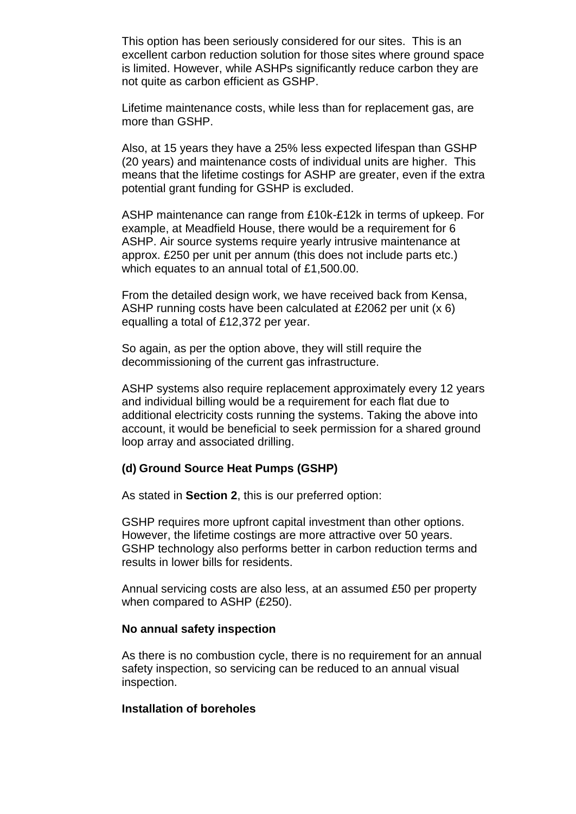This option has been seriously considered for our sites. This is an excellent carbon reduction solution for those sites where ground space is limited. However, while ASHPs significantly reduce carbon they are not quite as carbon efficient as GSHP.

Lifetime maintenance costs, while less than for replacement gas, are more than GSHP.

Also, at 15 years they have a 25% less expected lifespan than GSHP (20 years) and maintenance costs of individual units are higher. This means that the lifetime costings for ASHP are greater, even if the extra potential grant funding for GSHP is excluded.

ASHP maintenance can range from £10k-£12k in terms of upkeep. For example, at Meadfield House, there would be a requirement for 6 ASHP. Air source systems require yearly intrusive maintenance at approx. £250 per unit per annum (this does not include parts etc.) which equates to an annual total of £1,500.00.

From the detailed design work, we have received back from Kensa, ASHP running costs have been calculated at £2062 per unit (x 6) equalling a total of £12,372 per year.

So again, as per the option above, they will still require the decommissioning of the current gas infrastructure.

ASHP systems also require replacement approximately every 12 years and individual billing would be a requirement for each flat due to additional electricity costs running the systems. Taking the above into account, it would be beneficial to seek permission for a shared ground loop array and associated drilling.

#### **(d) Ground Source Heat Pumps (GSHP)**

As stated in **Section 2**, this is our preferred option:

GSHP requires more upfront capital investment than other options. However, the lifetime costings are more attractive over 50 years. GSHP technology also performs better in carbon reduction terms and results in lower bills for residents.

Annual servicing costs are also less, at an assumed £50 per property when compared to ASHP (£250).

#### **No annual safety inspection**

As there is no combustion cycle, there is no requirement for an annual safety inspection, so servicing can be reduced to an annual visual inspection.

#### **Installation of boreholes**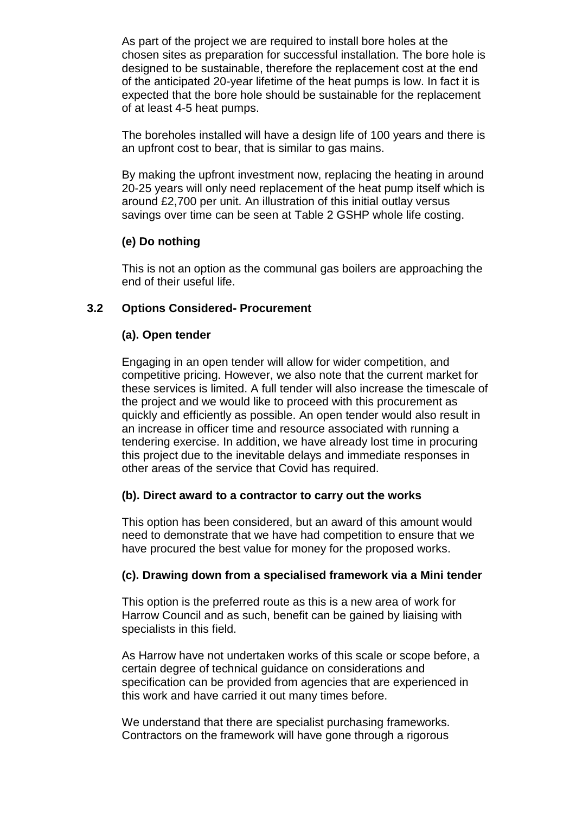As part of the project we are required to install bore holes at the chosen sites as preparation for successful installation. The bore hole is designed to be sustainable, therefore the replacement cost at the end of the anticipated 20-year lifetime of the heat pumps is low. In fact it is expected that the bore hole should be sustainable for the replacement of at least 4-5 heat pumps.

The boreholes installed will have a design life of 100 years and there is an upfront cost to bear, that is similar to gas mains.

By making the upfront investment now, replacing the heating in around 20-25 years will only need replacement of the heat pump itself which is around £2,700 per unit. An illustration of this initial outlay versus savings over time can be seen at Table 2 GSHP whole life costing.

#### **(e) Do nothing**

This is not an option as the communal gas boilers are approaching the end of their useful life.

#### **3.2 Options Considered- Procurement**

#### **(a). Open tender**

Engaging in an open tender will allow for wider competition, and competitive pricing. However, we also note that the current market for these services is limited. A full tender will also increase the timescale of the project and we would like to proceed with this procurement as quickly and efficiently as possible. An open tender would also result in an increase in officer time and resource associated with running a tendering exercise. In addition, we have already lost time in procuring this project due to the inevitable delays and immediate responses in other areas of the service that Covid has required.

#### **(b). Direct award to a contractor to carry out the works**

This option has been considered, but an award of this amount would need to demonstrate that we have had competition to ensure that we have procured the best value for money for the proposed works.

#### **(c). Drawing down from a specialised framework via a Mini tender**

This option is the preferred route as this is a new area of work for Harrow Council and as such, benefit can be gained by liaising with specialists in this field.

As Harrow have not undertaken works of this scale or scope before, a certain degree of technical guidance on considerations and specification can be provided from agencies that are experienced in this work and have carried it out many times before.

We understand that there are specialist purchasing frameworks. Contractors on the framework will have gone through a rigorous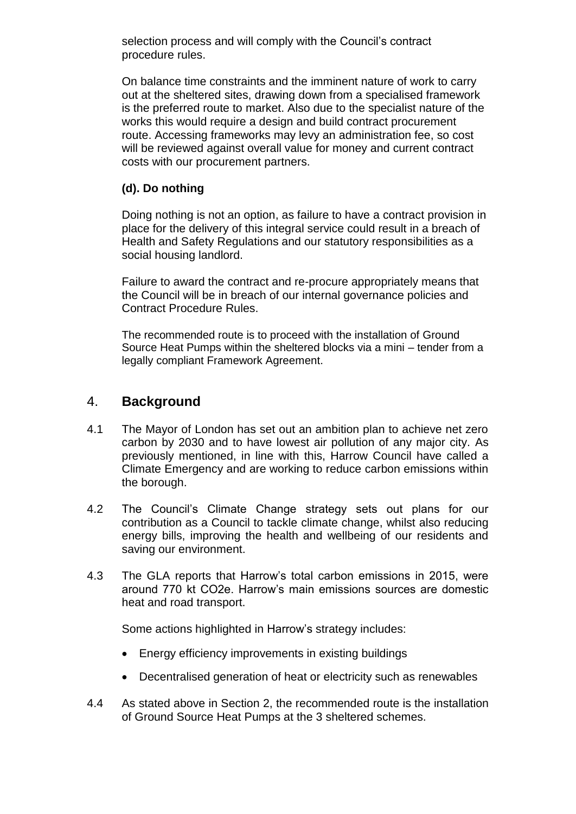selection process and will comply with the Council's contract procedure rules.

On balance time constraints and the imminent nature of work to carry out at the sheltered sites, drawing down from a specialised framework is the preferred route to market. Also due to the specialist nature of the works this would require a design and build contract procurement route. Accessing frameworks may levy an administration fee, so cost will be reviewed against overall value for money and current contract costs with our procurement partners.

#### **(d). Do nothing**

Doing nothing is not an option, as failure to have a contract provision in place for the delivery of this integral service could result in a breach of Health and Safety Regulations and our statutory responsibilities as a social housing landlord.

Failure to award the contract and re-procure appropriately means that the Council will be in breach of our internal governance policies and Contract Procedure Rules.

The recommended route is to proceed with the installation of Ground Source Heat Pumps within the sheltered blocks via a mini – tender from a legally compliant Framework Agreement.

### 4. **Background**

- 4.1 The Mayor of London has set out an ambition plan to achieve net zero carbon by 2030 and to have lowest air pollution of any major city. As previously mentioned, in line with this, Harrow Council have called a Climate Emergency and are working to reduce carbon emissions within the borough.
- 4.2 The Council's Climate Change strategy sets out plans for our contribution as a Council to tackle climate change, whilst also reducing energy bills, improving the health and wellbeing of our residents and saving our environment.
- 4.3 The GLA reports that Harrow's total carbon emissions in 2015, were around 770 kt CO2e. Harrow's main emissions sources are domestic heat and road transport.

Some actions highlighted in Harrow's strategy includes:

- Energy efficiency improvements in existing buildings
- Decentralised generation of heat or electricity such as renewables
- 4.4 As stated above in Section 2, the recommended route is the installation of Ground Source Heat Pumps at the 3 sheltered schemes.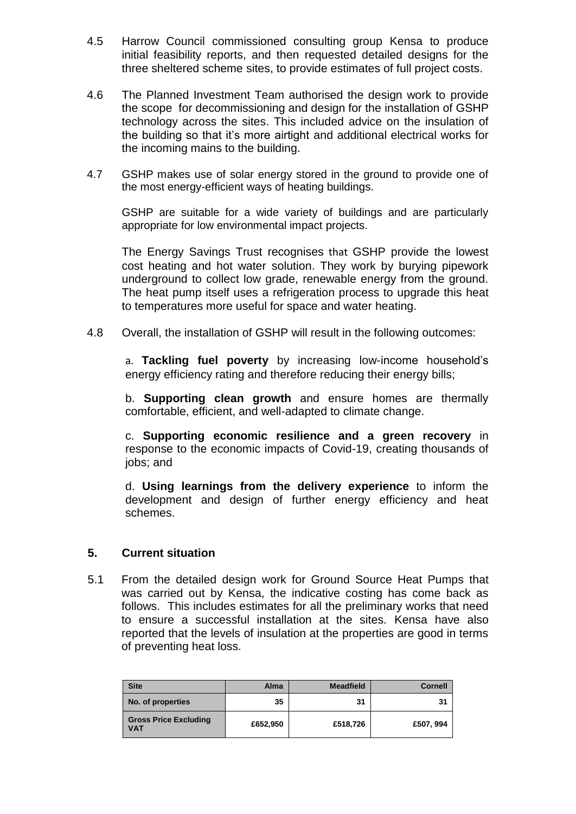- 4.5 Harrow Council commissioned consulting group Kensa to produce initial feasibility reports, and then requested detailed designs for the three sheltered scheme sites, to provide estimates of full project costs.
- 4.6 The Planned Investment Team authorised the design work to provide the scope for decommissioning and design for the installation of GSHP technology across the sites. This included advice on the insulation of the building so that it's more airtight and additional electrical works for the incoming mains to the building.
- 4.7 GSHP makes use of solar energy stored in the ground to provide one of the most energy-efficient ways of heating buildings.

GSHP are suitable for a wide variety of buildings and are particularly appropriate for low environmental impact projects.

The Energy Savings Trust recognises that GSHP provide the lowest cost heating and hot water solution. They work by burying pipework underground to collect low grade, renewable energy from the ground. The heat pump itself uses a refrigeration process to upgrade this heat to temperatures more useful for space and water heating.

4.8 Overall, the installation of GSHP will result in the following outcomes:

a. **Tackling fuel poverty** by increasing low-income household's energy efficiency rating and therefore reducing their energy bills;

b. **Supporting clean growth** and ensure homes are thermally comfortable, efficient, and well-adapted to climate change.

c. **Supporting economic resilience and a green recovery** in response to the economic impacts of Covid-19, creating thousands of jobs; and

d. **Using learnings from the delivery experience** to inform the development and design of further energy efficiency and heat schemes.

#### **5. Current situation**

5.1 From the detailed design work for Ground Source Heat Pumps that was carried out by Kensa, the indicative costing has come back as follows. This includes estimates for all the preliminary works that need to ensure a successful installation at the sites. Kensa have also reported that the levels of insulation at the properties are good in terms of preventing heat loss.

| <b>Site</b>                                | <b>Alma</b> | <b>Meadfield</b> | <b>Cornell</b> |
|--------------------------------------------|-------------|------------------|----------------|
| No. of properties                          | 35          | 31               | 31             |
| <b>Gross Price Excluding</b><br><b>VAT</b> | £652,950    | £518,726         | £507, 994      |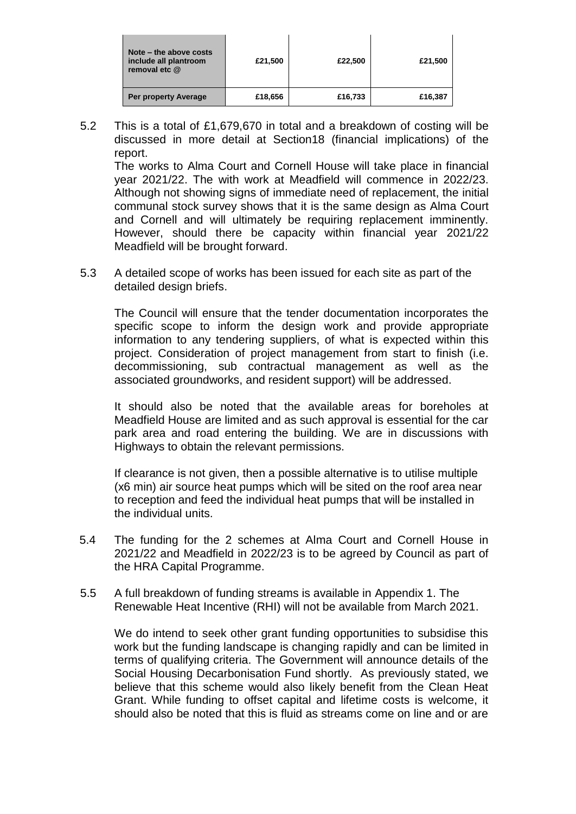| Note – the above costs<br>include all plantroom<br>removal etc @ | £21,500 | £22,500 | £21,500 |
|------------------------------------------------------------------|---------|---------|---------|
| Per property Average                                             | £18,656 | £16,733 | £16,387 |

5.2 This is a total of £1,679,670 in total and a breakdown of costing will be discussed in more detail at Section18 (financial implications) of the report.

The works to Alma Court and Cornell House will take place in financial year 2021/22. The with work at Meadfield will commence in 2022/23. Although not showing signs of immediate need of replacement, the initial communal stock survey shows that it is the same design as Alma Court and Cornell and will ultimately be requiring replacement imminently. However, should there be capacity within financial year 2021/22 Meadfield will be brought forward.

5.3 A detailed scope of works has been issued for each site as part of the detailed design briefs.

The Council will ensure that the tender documentation incorporates the specific scope to inform the design work and provide appropriate information to any tendering suppliers, of what is expected within this project. Consideration of project management from start to finish (i.e. decommissioning, sub contractual management as well as the associated groundworks, and resident support) will be addressed.

It should also be noted that the available areas for boreholes at Meadfield House are limited and as such approval is essential for the car park area and road entering the building. We are in discussions with Highways to obtain the relevant permissions.

If clearance is not given, then a possible alternative is to utilise multiple (x6 min) air source heat pumps which will be sited on the roof area near to reception and feed the individual heat pumps that will be installed in the individual units.

- 5.4 The funding for the 2 schemes at Alma Court and Cornell House in 2021/22 and Meadfield in 2022/23 is to be agreed by Council as part of the HRA Capital Programme.
- 5.5 A full breakdown of funding streams is available in Appendix 1. The Renewable Heat Incentive (RHI) will not be available from March 2021.

We do intend to seek other grant funding opportunities to subsidise this work but the funding landscape is changing rapidly and can be limited in terms of qualifying criteria. The Government will announce details of the Social Housing Decarbonisation Fund shortly. As previously stated, we believe that this scheme would also likely benefit from the Clean Heat Grant. While funding to offset capital and lifetime costs is welcome, it should also be noted that this is fluid as streams come on line and or are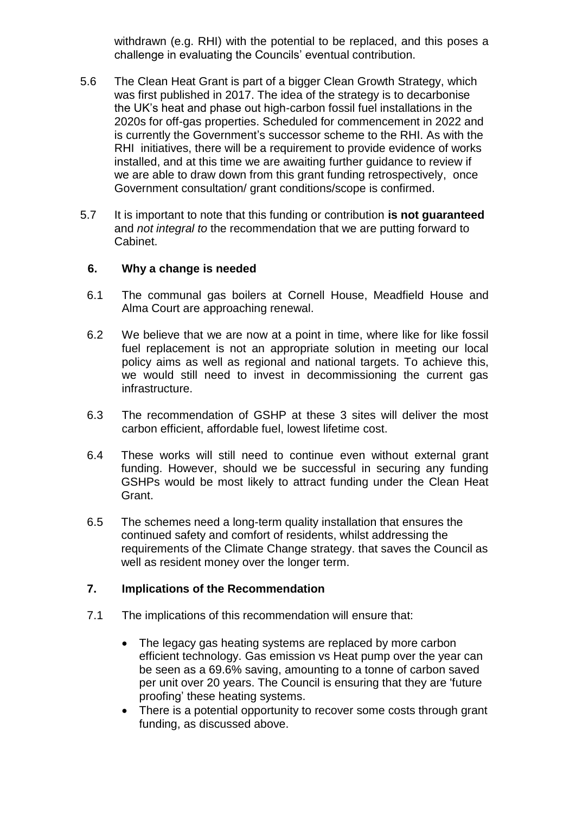withdrawn (e.g. RHI) with the potential to be replaced, and this poses a challenge in evaluating the Councils' eventual contribution.

- 5.6 The Clean Heat Grant is part of a bigger Clean Growth Strategy, which was first published in 2017. The idea of the strategy is to decarbonise the UK's heat and phase out high-carbon fossil fuel installations in the 2020s for off-gas properties. Scheduled for commencement in 2022 and is currently the Government's successor scheme to the RHI. As with the RHI initiatives, there will be a requirement to provide evidence of works installed, and at this time we are awaiting further guidance to review if we are able to draw down from this grant funding retrospectively, once Government consultation/ grant conditions/scope is confirmed.
- 5.7 It is important to note that this funding or contribution **is not guaranteed** and *not integral to* the recommendation that we are putting forward to Cabinet.

#### **6. Why a change is needed**

- 6.1 The communal gas boilers at Cornell House, Meadfield House and Alma Court are approaching renewal.
- 6.2 We believe that we are now at a point in time, where like for like fossil fuel replacement is not an appropriate solution in meeting our local policy aims as well as regional and national targets. To achieve this, we would still need to invest in decommissioning the current gas infrastructure.
- 6.3 The recommendation of GSHP at these 3 sites will deliver the most carbon efficient, affordable fuel, lowest lifetime cost.
- 6.4 These works will still need to continue even without external grant funding. However, should we be successful in securing any funding GSHPs would be most likely to attract funding under the Clean Heat Grant.
- 6.5 The schemes need a long-term quality installation that ensures the continued safety and comfort of residents, whilst addressing the requirements of the Climate Change strategy. that saves the Council as well as resident money over the longer term.

#### **7. Implications of the Recommendation**

- 7.1 The implications of this recommendation will ensure that:
	- The legacy gas heating systems are replaced by more carbon efficient technology. Gas emission vs Heat pump over the year can be seen as a 69.6% saving, amounting to a tonne of carbon saved per unit over 20 years. The Council is ensuring that they are 'future proofing' these heating systems.
	- There is a potential opportunity to recover some costs through grant funding, as discussed above.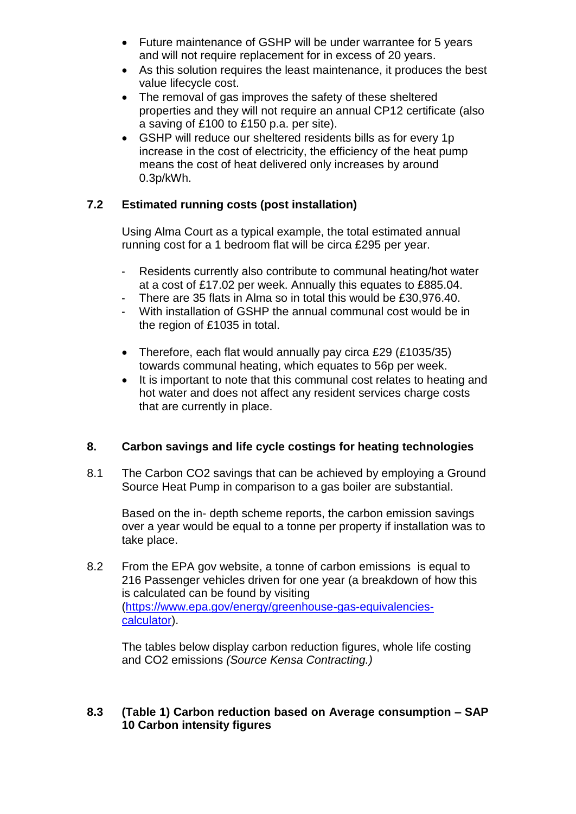- Future maintenance of GSHP will be under warrantee for 5 years and will not require replacement for in excess of 20 years.
- As this solution requires the least maintenance, it produces the best value lifecycle cost.
- The removal of gas improves the safety of these sheltered properties and they will not require an annual CP12 certificate (also a saving of £100 to £150 p.a. per site).
- GSHP will reduce our sheltered residents bills as for every 1p increase in the cost of electricity, the efficiency of the heat pump means the cost of heat delivered only increases by around 0.3p/kWh.

### **7.2 Estimated running costs (post installation)**

Using Alma Court as a typical example, the total estimated annual running cost for a 1 bedroom flat will be circa £295 per year.

- Residents currently also contribute to communal heating/hot water at a cost of £17.02 per week. Annually this equates to £885.04.
- There are 35 flats in Alma so in total this would be £30,976.40.
- With installation of GSHP the annual communal cost would be in the region of £1035 in total.
- Therefore, each flat would annually pay circa £29 (£1035/35) towards communal heating, which equates to 56p per week.
- It is important to note that this communal cost relates to heating and hot water and does not affect any resident services charge costs that are currently in place.

### **8. Carbon savings and life cycle costings for heating technologies**

8.1 The Carbon CO2 savings that can be achieved by employing a Ground Source Heat Pump in comparison to a gas boiler are substantial.

Based on the in- depth scheme reports, the carbon emission savings over a year would be equal to a tonne per property if installation was to take place.

8.2 From the EPA gov website, a tonne of carbon emissions is equal to 216 Passenger vehicles driven for one year (a breakdown of how this is calculated can be found by visiting [\(https://www.epa.gov/energy/greenhouse-gas-equivalencies](https://www.epa.gov/energy/greenhouse-gas-equivalencies-calculator)[calculator\)](https://www.epa.gov/energy/greenhouse-gas-equivalencies-calculator).

The tables below display carbon reduction figures, whole life costing and CO2 emissions *(Source Kensa Contracting.)*

#### **8.3 (Table 1) Carbon reduction based on Average consumption – SAP 10 Carbon intensity figures**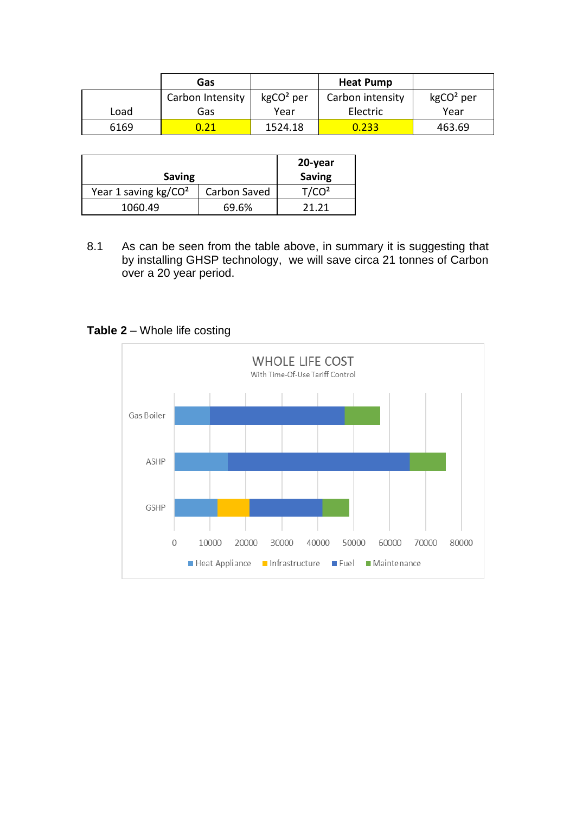|      | Gas              |             | <b>Heat Pump</b> |             |
|------|------------------|-------------|------------------|-------------|
|      | Carbon Intensity | $kgCO2$ per | Carbon intensity | $kgCO2$ per |
| Load | Gas              | Year        | Electric         | Year        |
| 6169 | 0.21             | 1524.18     | 0.233            | 463.69      |

| <b>Saving</b>          | 20-year<br><b>Saving</b> |                   |
|------------------------|--------------------------|-------------------|
| Year 1 saving $kg/CO2$ | Carbon Saved             | T/CO <sup>2</sup> |
| 1060.49                | 69.6%                    | 71 71             |

8.1 As can be seen from the table above, in summary it is suggesting that by installing GHSP technology, we will save circa 21 tonnes of Carbon over a 20 year period.

### **Table 2** – Whole life costing

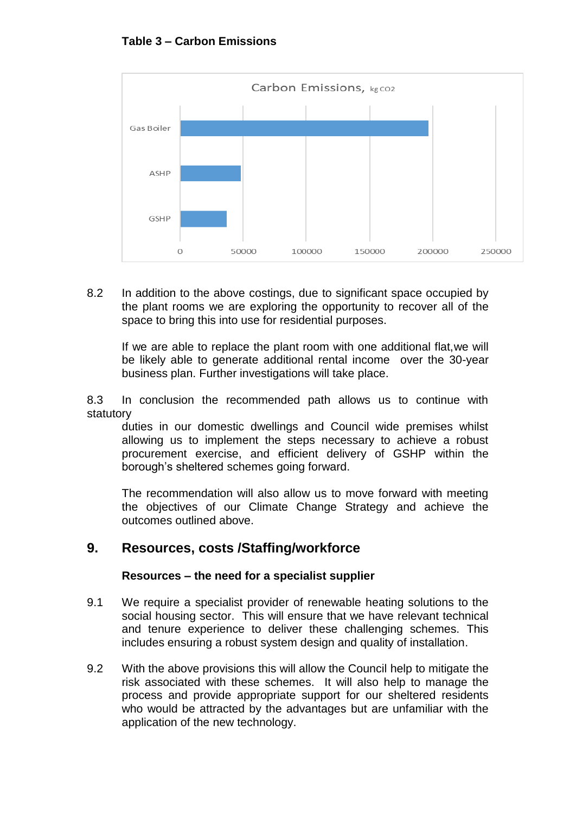

8.2 In addition to the above costings, due to significant space occupied by the plant rooms we are exploring the opportunity to recover all of the space to bring this into use for residential purposes.

If we are able to replace the plant room with one additional flat,we will be likely able to generate additional rental income over the 30-year business plan. Further investigations will take place.

8.3 In conclusion the recommended path allows us to continue with statutory

duties in our domestic dwellings and Council wide premises whilst allowing us to implement the steps necessary to achieve a robust procurement exercise, and efficient delivery of GSHP within the borough's sheltered schemes going forward.

The recommendation will also allow us to move forward with meeting the objectives of our Climate Change Strategy and achieve the outcomes outlined above.

### **9. Resources, costs /Staffing/workforce**

#### **Resources – the need for a specialist supplier**

- 9.1 We require a specialist provider of renewable heating solutions to the social housing sector. This will ensure that we have relevant technical and tenure experience to deliver these challenging schemes. This includes ensuring a robust system design and quality of installation.
- 9.2 With the above provisions this will allow the Council help to mitigate the risk associated with these schemes. It will also help to manage the process and provide appropriate support for our sheltered residents who would be attracted by the advantages but are unfamiliar with the application of the new technology.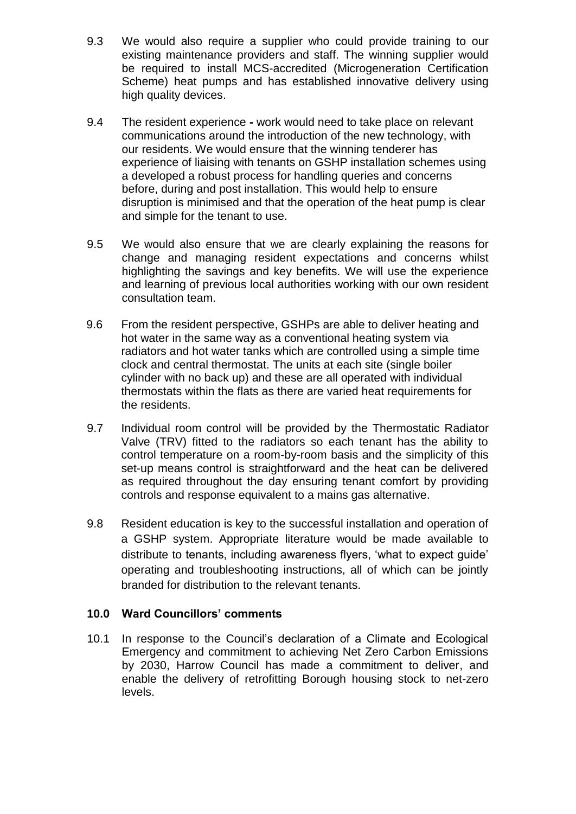- 9.3 We would also require a supplier who could provide training to our existing maintenance providers and staff. The winning supplier would be required to install MCS-accredited (Microgeneration Certification Scheme) heat pumps and has established innovative delivery using high quality devices.
- 9.4 The resident experience **-** work would need to take place on relevant communications around the introduction of the new technology, with our residents. We would ensure that the winning tenderer has experience of liaising with tenants on GSHP installation schemes using a developed a robust process for handling queries and concerns before, during and post installation. This would help to ensure disruption is minimised and that the operation of the heat pump is clear and simple for the tenant to use.
- 9.5 We would also ensure that we are clearly explaining the reasons for change and managing resident expectations and concerns whilst highlighting the savings and key benefits. We will use the experience and learning of previous local authorities working with our own resident consultation team.
- 9.6 From the resident perspective, GSHPs are able to deliver heating and hot water in the same way as a conventional heating system via radiators and hot water tanks which are controlled using a simple time clock and central thermostat. The units at each site (single boiler cylinder with no back up) and these are all operated with individual thermostats within the flats as there are varied heat requirements for the residents.
- 9.7 Individual room control will be provided by the Thermostatic Radiator Valve (TRV) fitted to the radiators so each tenant has the ability to control temperature on a room-by-room basis and the simplicity of this set-up means control is straightforward and the heat can be delivered as required throughout the day ensuring tenant comfort by providing controls and response equivalent to a mains gas alternative.
- 9.8 Resident education is key to the successful installation and operation of a GSHP system. Appropriate literature would be made available to distribute to tenants, including awareness flyers, 'what to expect guide' operating and troubleshooting instructions, all of which can be jointly branded for distribution to the relevant tenants.

#### **10.0 Ward Councillors' comments**

10.1 In response to the Council's declaration of a Climate and Ecological Emergency and commitment to achieving Net Zero Carbon Emissions by 2030, Harrow Council has made a commitment to deliver, and enable the delivery of retrofitting Borough housing stock to net-zero levels.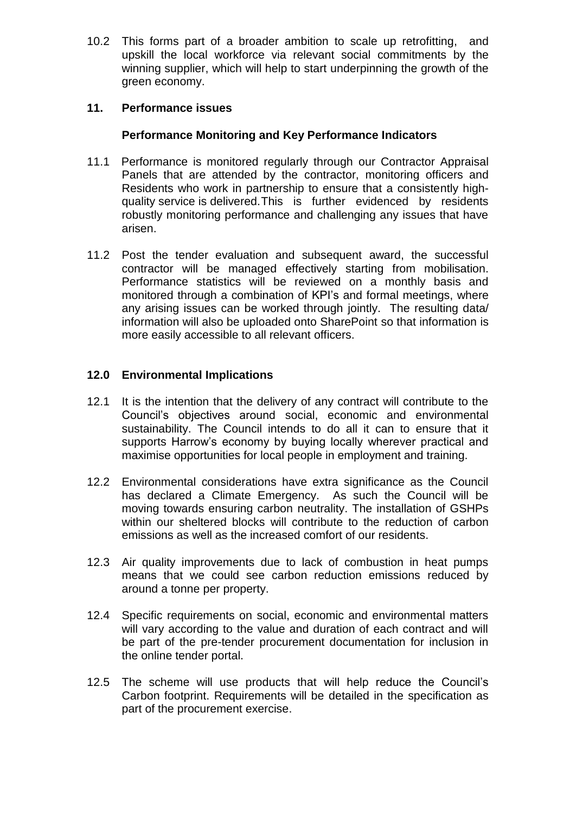10.2 This forms part of a broader ambition to scale up retrofitting, and upskill the local workforce via relevant social commitments by the winning supplier, which will help to start underpinning the growth of the green economy.

#### **11. Performance issues**

#### **Performance Monitoring and Key Performance Indicators**

- 11.1Performance is monitored regularly through our Contractor Appraisal Panels that are attended by the contractor, monitoring officers and Residents who work in partnership to ensure that a consistently highquality service is delivered.This is further evidenced by residents robustly monitoring performance and challenging any issues that have arisen.
- 11.2 Post the tender evaluation and subsequent award, the successful contractor will be managed effectively starting from mobilisation. Performance statistics will be reviewed on a monthly basis and monitored through a combination of KPI's and formal meetings, where any arising issues can be worked through jointly. The resulting data/ information will also be uploaded onto SharePoint so that information is more easily accessible to all relevant officers.

#### **12.0 Environmental Implications**

- 12.1 It is the intention that the delivery of any contract will contribute to the Council's objectives around social, economic and environmental sustainability. The Council intends to do all it can to ensure that it supports Harrow's economy by buying locally wherever practical and maximise opportunities for local people in employment and training.
- 12.2 Environmental considerations have extra significance as the Council has declared a Climate Emergency. As such the Council will be moving towards ensuring carbon neutrality. The installation of GSHPs within our sheltered blocks will contribute to the reduction of carbon emissions as well as the increased comfort of our residents.
- 12.3 Air quality improvements due to lack of combustion in heat pumps means that we could see carbon reduction emissions reduced by around a tonne per property.
- 12.4 Specific requirements on social, economic and environmental matters will vary according to the value and duration of each contract and will be part of the pre-tender procurement documentation for inclusion in the online tender portal.
- 12.5 The scheme will use products that will help reduce the Council's Carbon footprint. Requirements will be detailed in the specification as part of the procurement exercise.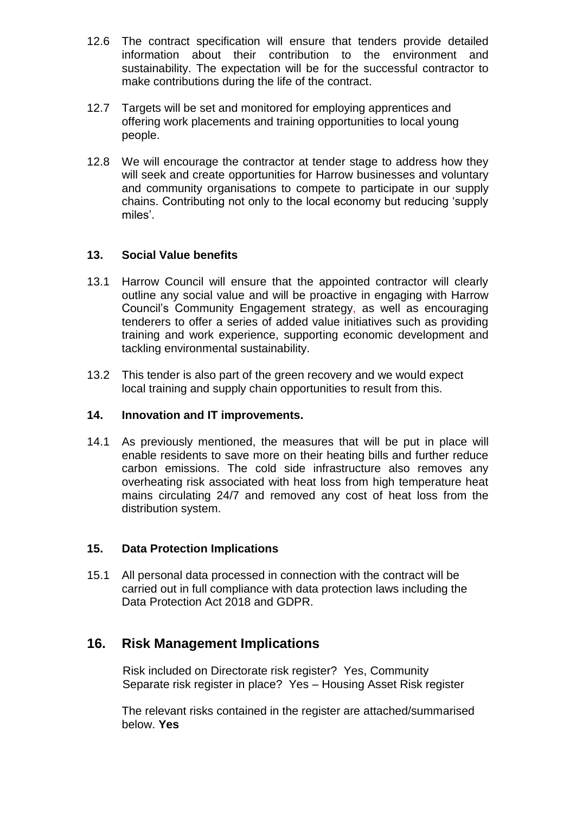- 12.6 The contract specification will ensure that tenders provide detailed information about their contribution to the environment and sustainability. The expectation will be for the successful contractor to make contributions during the life of the contract.
- 12.7 Targets will be set and monitored for employing apprentices and offering work placements and training opportunities to local young people.
- 12.8 We will encourage the contractor at tender stage to address how they will seek and create opportunities for Harrow businesses and voluntary and community organisations to compete to participate in our supply chains. Contributing not only to the local economy but reducing 'supply miles'.

#### **13. Social Value benefits**

- 13.1 Harrow Council will ensure that the appointed contractor will clearly outline any social value and will be proactive in engaging with Harrow Council's Community Engagement strategy, as well as encouraging tenderers to offer a series of added value initiatives such as providing training and work experience, supporting economic development and tackling environmental sustainability.
- 13.2 This tender is also part of the green recovery and we would expect local training and supply chain opportunities to result from this.

#### **14. Innovation and IT improvements.**

14.1 As previously mentioned, the measures that will be put in place will enable residents to save more on their heating bills and further reduce carbon emissions. The cold side infrastructure also removes any overheating risk associated with heat loss from high temperature heat mains circulating 24/7 and removed any cost of heat loss from the distribution system.

### **15. Data Protection Implications**

15.1 All personal data processed in connection with the contract will be carried out in full compliance with data protection laws including the Data Protection Act 2018 and GDPR.

### **16. Risk Management Implications**

 Risk included on Directorate risk register? Yes, Community Separate risk register in place? Yes – Housing Asset Risk register

The relevant risks contained in the register are attached/summarised below. **Yes**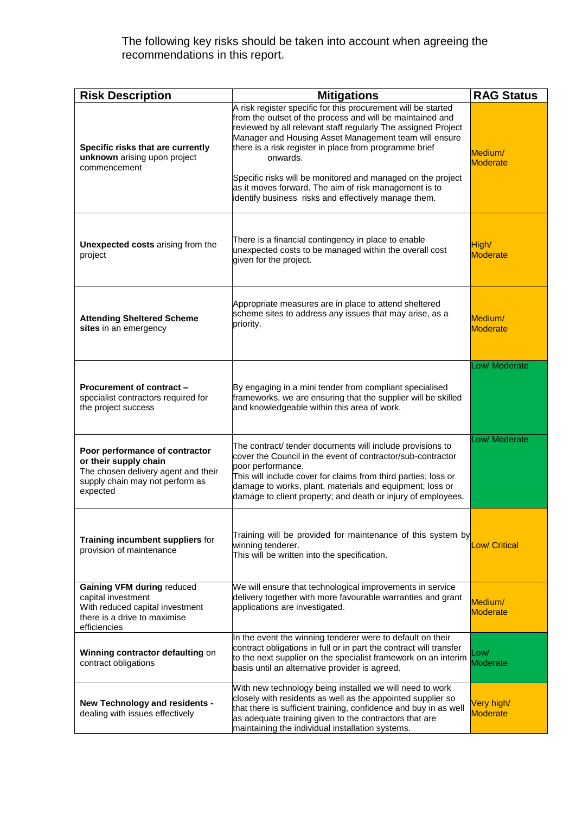#### The following key risks should be taken into account when agreeing the recommendations in this report.

| <b>Risk Description</b>                                                                                                                       | <b>Mitigations</b>                                                                                                                                                                                                                                                                                                                                                                                                                                                                                         | <b>RAG Status</b>             |
|-----------------------------------------------------------------------------------------------------------------------------------------------|------------------------------------------------------------------------------------------------------------------------------------------------------------------------------------------------------------------------------------------------------------------------------------------------------------------------------------------------------------------------------------------------------------------------------------------------------------------------------------------------------------|-------------------------------|
| Specific risks that are currently<br>unknown arising upon project<br>commencement                                                             | A risk register specific for this procurement will be started<br>from the outset of the process and will be maintained and<br>reviewed by all relevant staff regularly The assigned Project<br>Manager and Housing Asset Management team will ensure<br>there is a risk register in place from programme brief<br>onwards.<br>Specific risks will be monitored and managed on the project<br>as it moves forward. The aim of risk management is to<br>identify business risks and effectively manage them. | Medium/<br><b>Moderate</b>    |
| Unexpected costs arising from the<br>project                                                                                                  | There is a financial contingency in place to enable<br>unexpected costs to be managed within the overall cost<br>given for the project.                                                                                                                                                                                                                                                                                                                                                                    | High/<br><b>Moderate</b>      |
| <b>Attending Sheltered Scheme</b><br>sites in an emergency                                                                                    | Appropriate measures are in place to attend sheltered<br>scheme sites to address any issues that may arise, as a<br>priority.                                                                                                                                                                                                                                                                                                                                                                              | Medium/<br><b>Moderate</b>    |
| Procurement of contract -<br>specialist contractors required for<br>the project success                                                       | By engaging in a mini tender from compliant specialised<br>frameworks, we are ensuring that the supplier will be skilled<br>and knowledgeable within this area of work.                                                                                                                                                                                                                                                                                                                                    | Low/ Moderate                 |
| Poor performance of contractor<br>or their supply chain<br>The chosen delivery agent and their<br>supply chain may not perform as<br>expected | The contract/ tender documents will include provisions to<br>cover the Council in the event of contractor/sub-contractor<br>poor performance.<br>This will include cover for claims from third parties; loss or<br>damage to works, plant, materials and equipment; loss or<br>damage to client property; and death or injury of employees.                                                                                                                                                                | Low/ Moderate                 |
| Training incumbent suppliers for<br>provision of maintenance                                                                                  | Training will be provided for maintenance of this system by<br>winning tenderer.<br>This will be written into the specification.                                                                                                                                                                                                                                                                                                                                                                           | Low/ Critical                 |
| <b>Gaining VFM during reduced</b><br>capital investment<br>With reduced capital investment<br>there is a drive to maximise<br>efficiencies    | We will ensure that technological improvements in service<br>delivery together with more favourable warranties and grant<br>applications are investigated.                                                                                                                                                                                                                                                                                                                                                 | Medium/<br><b>Moderate</b>    |
| Winning contractor defaulting on<br>contract obligations                                                                                      | In the event the winning tenderer were to default on their<br>contract obligations in full or in part the contract will transfer<br>to the next supplier on the specialist framework on an interim<br>basis until an alternative provider is agreed.                                                                                                                                                                                                                                                       | Low/<br>Moderate              |
| New Technology and residents -<br>dealing with issues effectively                                                                             | With new technology being installed we will need to work<br>closely with residents as well as the appointed supplier so<br>that there is sufficient training, confidence and buy in as well<br>as adequate training given to the contractors that are<br>maintaining the individual installation systems.                                                                                                                                                                                                  | Very high/<br><b>Moderate</b> |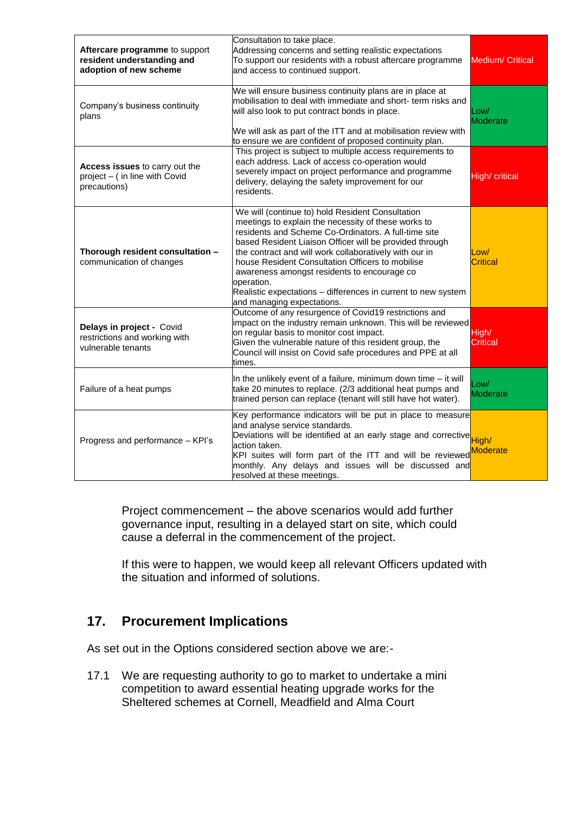| Aftercare programme to support<br>resident understanding and<br>adoption of new scheme | Consultation to take place.<br>Addressing concerns and setting realistic expectations<br>To support our residents with a robust aftercare programme<br>and access to continued support.                                                                                                                                                                                                                                                                                                              | <b>Medium/ Critical</b> |
|----------------------------------------------------------------------------------------|------------------------------------------------------------------------------------------------------------------------------------------------------------------------------------------------------------------------------------------------------------------------------------------------------------------------------------------------------------------------------------------------------------------------------------------------------------------------------------------------------|-------------------------|
| Company's business continuity<br>plans                                                 | We will ensure business continuity plans are in place at<br>mobilisation to deal with immediate and short- term risks and<br>will also look to put contract bonds in place.<br>We will ask as part of the ITT and at mobilisation review with<br>to ensure we are confident of proposed continuity plan.                                                                                                                                                                                             | Low/<br>Moderate        |
| Access issues to carry out the<br>project - (in line with Covid<br>precautions)        | This project is subject to multiple access requirements to<br>each address. Lack of access co-operation would<br>severely impact on project performance and programme<br>delivery, delaying the safety improvement for our<br>residents.                                                                                                                                                                                                                                                             | High/ critical          |
| Thorough resident consultation -<br>communication of changes                           | We will (continue to) hold Resident Consultation<br>meetings to explain the necessity of these works to<br>residents and Scheme Co-Ordinators. A full-time site<br>based Resident Liaison Officer will be provided through<br>the contract and will work collaboratively with our in<br>house Resident Consultation Officers to mobilise<br>awareness amongst residents to encourage co<br>operation.<br>Realistic expectations - differences in current to new system<br>and managing expectations. | Low/<br>Critical        |
| Delays in project - Covid<br>restrictions and working with<br>vulnerable tenants       | Outcome of any resurgence of Covid19 restrictions and<br>impact on the industry remain unknown. This will be reviewed<br>on regular basis to monitor cost impact.<br>Given the vulnerable nature of this resident group, the<br>Council will insist on Covid safe procedures and PPE at all<br>times.                                                                                                                                                                                                | High/<br>Critical       |
| Failure of a heat pumps                                                                | In the unlikely event of a failure, minimum down time - it will<br>take 20 minutes to replace. (2/3 additional heat pumps and<br>trained person can replace (tenant will still have hot water).                                                                                                                                                                                                                                                                                                      | Low/<br><b>Moderate</b> |
| Progress and performance - KPI's                                                       | Key performance indicators will be put in place to measure<br>and analyse service standards.<br>and analyse service statute of an early stage and corrective High/<br>action taken.<br>KPI suites will form part of the ITT and will be reviewed<br>monthly. Any delays and issues will be discussed and<br>resolved at these meetings.                                                                                                                                                              | <b>Moderate</b>         |

Project commencement – the above scenarios would add further governance input, resulting in a delayed start on site, which could cause a deferral in the commencement of the project.

If this were to happen, we would keep all relevant Officers updated with the situation and informed of solutions.

## **17. Procurement Implications**

As set out in the Options considered section above we are:-

17.1 We are requesting authority to go to market to undertake a mini competition to award essential heating upgrade works for the Sheltered schemes at Cornell, Meadfield and Alma Court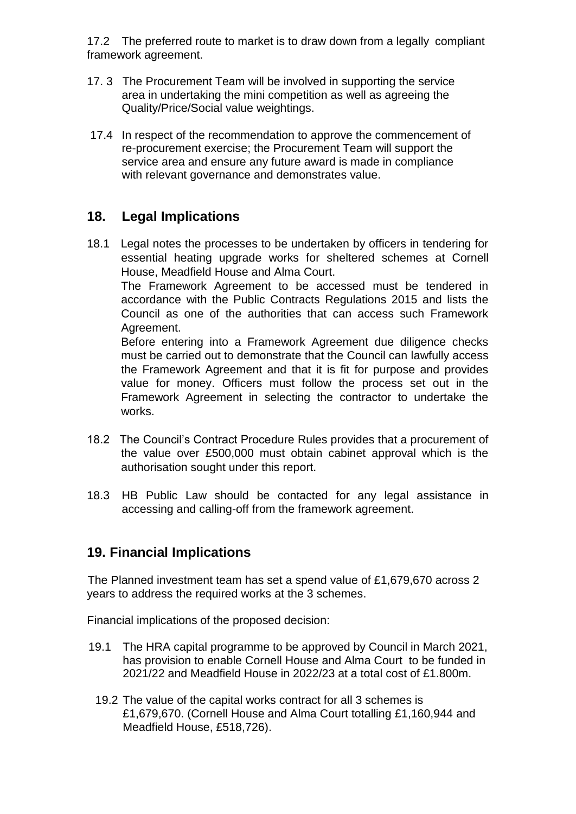17.2 The preferred route to market is to draw down from a legally compliant framework agreement.

- 17. 3 The Procurement Team will be involved in supporting the service area in undertaking the mini competition as well as agreeing the Quality/Price/Social value weightings.
- 17.4 In respect of the recommendation to approve the commencement of re-procurement exercise; the Procurement Team will support the service area and ensure any future award is made in compliance with relevant governance and demonstrates value.

## **18. Legal Implications**

18.1 Legal notes the processes to be undertaken by officers in tendering for essential heating upgrade works for sheltered schemes at Cornell House, Meadfield House and Alma Court.

The Framework Agreement to be accessed must be tendered in accordance with the Public Contracts Regulations 2015 and lists the Council as one of the authorities that can access such Framework Agreement.

Before entering into a Framework Agreement due diligence checks must be carried out to demonstrate that the Council can lawfully access the Framework Agreement and that it is fit for purpose and provides value for money. Officers must follow the process set out in the Framework Agreement in selecting the contractor to undertake the works.

- 18.2 The Council's Contract Procedure Rules provides that a procurement of the value over £500,000 must obtain cabinet approval which is the authorisation sought under this report.
- 18.3 HB Public Law should be contacted for any legal assistance in accessing and calling-off from the framework agreement.

### **19. Financial Implications**

The Planned investment team has set a spend value of £1,679,670 across 2 years to address the required works at the 3 schemes.

Financial implications of the proposed decision:

- 19.1 The HRA capital programme to be approved by Council in March 2021, has provision to enable Cornell House and Alma Court to be funded in 2021/22 and Meadfield House in 2022/23 at a total cost of £1.800m.
	- 19.2 The value of the capital works contract for all 3 schemes is £1,679,670. (Cornell House and Alma Court totalling £1,160,944 and Meadfield House, £518,726).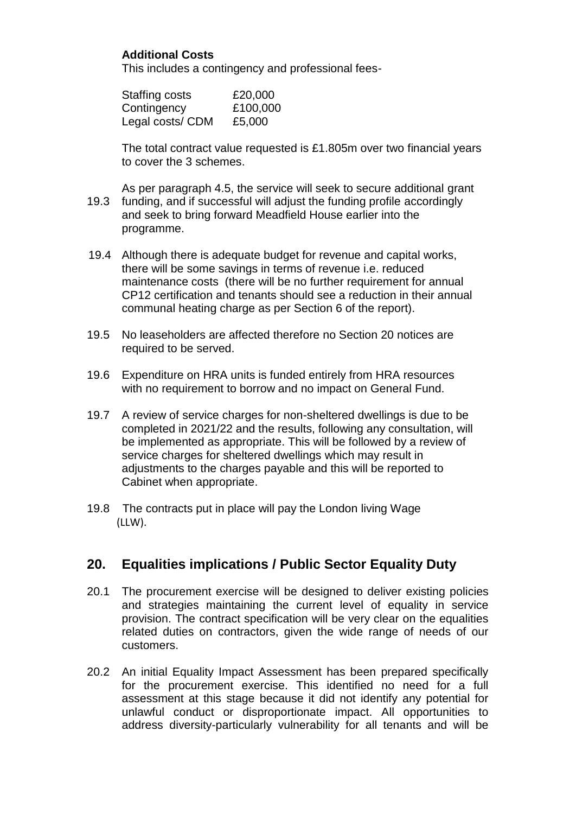### **Additional Costs**

This includes a contingency and professional fees-

| Staffing costs   | £20,000  |
|------------------|----------|
| Contingency      | £100,000 |
| Legal costs/ CDM | £5,000   |

The total contract value requested is £1.805m over two financial years to cover the 3 schemes.

- As per paragraph 4.5, the service will seek to secure additional grant 19.3 funding, and if successful will adjust the funding profile accordingly and seek to bring forward Meadfield House earlier into the programme.
- 19.4 Although there is adequate budget for revenue and capital works, there will be some savings in terms of revenue i.e. reduced maintenance costs (there will be no further requirement for annual CP12 certification and tenants should see a reduction in their annual communal heating charge as per Section 6 of the report).
- 19.5 No leaseholders are affected therefore no Section 20 notices are required to be served.
- 19.6 Expenditure on HRA units is funded entirely from HRA resources with no requirement to borrow and no impact on General Fund.
- 19.7 A review of service charges for non-sheltered dwellings is due to be completed in 2021/22 and the results, following any consultation, will be implemented as appropriate. This will be followed by a review of service charges for sheltered dwellings which may result in adjustments to the charges payable and this will be reported to Cabinet when appropriate.
- 19.8 The contracts put in place will pay the London living Wage (LLW).

## **20. Equalities implications / Public Sector Equality Duty**

- 20.1 The procurement exercise will be designed to deliver existing policies and strategies maintaining the current level of equality in service provision. The contract specification will be very clear on the equalities related duties on contractors, given the wide range of needs of our customers.
- 20.2 An initial Equality Impact Assessment has been prepared specifically for the procurement exercise. This identified no need for a full assessment at this stage because it did not identify any potential for unlawful conduct or disproportionate impact. All opportunities to address diversity-particularly vulnerability for all tenants and will be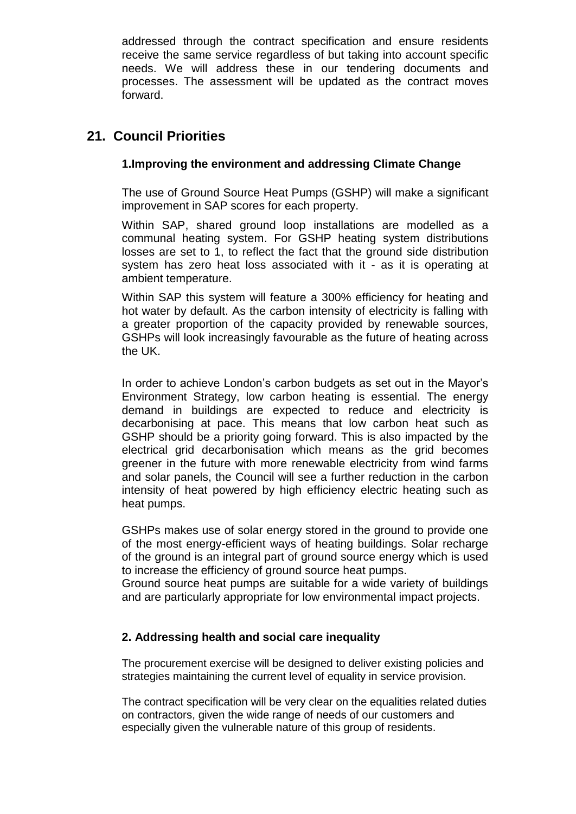addressed through the contract specification and ensure residents receive the same service regardless of but taking into account specific needs. We will address these in our tendering documents and processes. The assessment will be updated as the contract moves forward.

## **21. Council Priorities**

### **1.Improving the environment and addressing Climate Change**

The use of Ground Source Heat Pumps (GSHP) will make a significant improvement in SAP scores for each property.

Within SAP, shared ground loop installations are modelled as a communal heating system. For GSHP heating system distributions losses are set to 1, to reflect the fact that the ground side distribution system has zero heat loss associated with it - as it is operating at ambient temperature.

Within SAP this system will feature a 300% efficiency for heating and hot water by default. As the carbon intensity of electricity is falling with a greater proportion of the capacity provided by renewable sources, GSHPs will look increasingly favourable as the future of heating across the UK.

In order to achieve London's carbon budgets as set out in the Mayor's Environment Strategy, low carbon heating is essential. The energy demand in buildings are expected to reduce and electricity is decarbonising at pace. This means that low carbon heat such as GSHP should be a priority going forward. This is also impacted by the electrical grid decarbonisation which means as the grid becomes greener in the future with more renewable electricity from wind farms and solar panels, the Council will see a further reduction in the carbon intensity of heat powered by high efficiency electric heating such as heat pumps.

GSHPs makes use of solar energy stored in the ground to provide one of the most energy-efficient ways of heating buildings. Solar recharge of the ground is an integral part of ground source energy which is used to increase the efficiency of ground source heat pumps.

Ground source heat pumps are suitable for a wide variety of buildings and are particularly appropriate for low environmental impact projects.

### **2. Addressing health and social care inequality**

The procurement exercise will be designed to deliver existing policies and strategies maintaining the current level of equality in service provision.

The contract specification will be very clear on the equalities related duties on contractors, given the wide range of needs of our customers and especially given the vulnerable nature of this group of residents.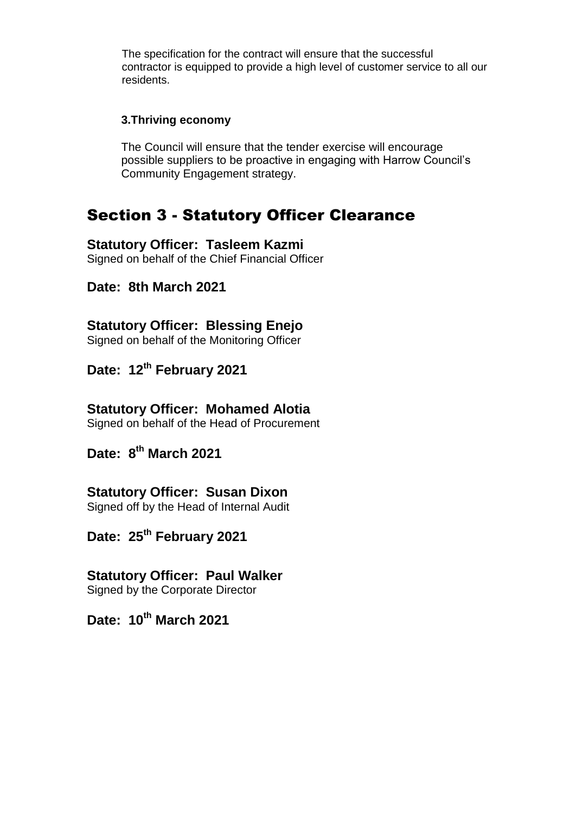The specification for the contract will ensure that the successful contractor is equipped to provide a high level of customer service to all our residents.

#### **3.Thriving economy**

The Council will ensure that the tender exercise will encourage possible suppliers to be proactive in engaging with Harrow Council's Community Engagement strategy.

# Section 3 - Statutory Officer Clearance

### **Statutory Officer: Tasleem Kazmi**

Signed on behalf of the Chief Financial Officer

### **Date: 8th March 2021**

## **Statutory Officer: Blessing Enejo**

Signed on behalf of the Monitoring Officer

## **Date: 12th February 2021**

### **Statutory Officer: Mohamed Alotia**

Signed on behalf of the Head of Procurement

## **Date: 8 th March 2021**

### **Statutory Officer: Susan Dixon**

Signed off by the Head of Internal Audit

## **Date: 25th February 2021**

#### **Statutory Officer: Paul Walker** Signed by the Corporate Director

# **Date: 10th March 2021**